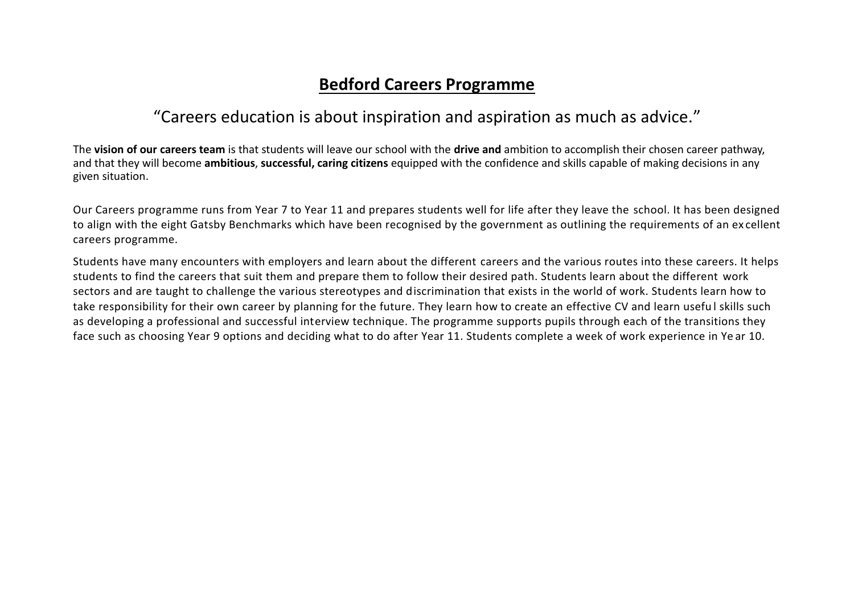## **Bedford Careers Programme**

## "Careers education is about inspiration and aspiration as much as advice."

The **vision of our careers team** is that students will leave our school with the **drive and** ambition to accomplish their chosen career pathway, and that they will become **ambitious**, **successful, caring citizens** equipped with the confidence and skills capable of making decisions in any given situation.

Our Careers programme runs from Year 7 to Year 11 and prepares students well for life after they leave the school. It has been designed to align with the eight Gatsby Benchmarks which have been recognised by the government as outlining the requirements of an ex cellent careers programme.

Students have many encounters with employers and learn about the different careers and the various routes into these careers. It helps students to find the careers that suit them and prepare them to follow their desired path. Students learn about the different work sectors and are taught to challenge the various stereotypes and discrimination that exists in the world of work. Students learn how to take responsibility for their own career by planning for the future. They learn how to create an effective CV and learn usefu l skills such as developing a professional and successful interview technique. The programme supports pupils through each of the transitions they face such as choosing Year 9 options and deciding what to do after Year 11. Students complete a week of work experience in Ye ar 10.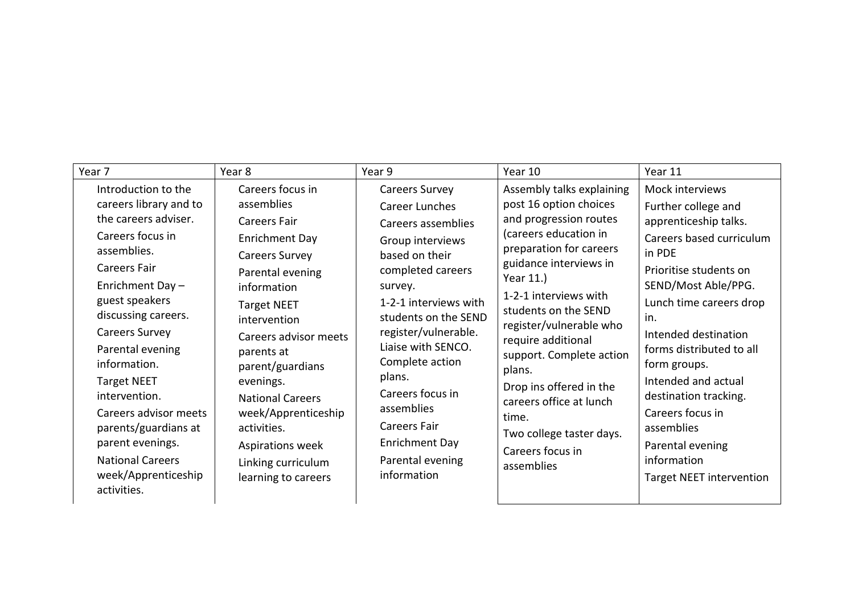| Year 7                                                                                                                                                                                                                                                                                                                                                                                                                                | Year 8                                                                                                                                                                                                                                                                                                                                                                                     | Year 9                                                                                                                                                                                                                                                                                                                                                                                      | Year 10                                                                                                                                                                                                                                                                                                                                                                                                                                       | Year 11                                                                                                                                                                                                                                                                                                                                                                                                              |
|---------------------------------------------------------------------------------------------------------------------------------------------------------------------------------------------------------------------------------------------------------------------------------------------------------------------------------------------------------------------------------------------------------------------------------------|--------------------------------------------------------------------------------------------------------------------------------------------------------------------------------------------------------------------------------------------------------------------------------------------------------------------------------------------------------------------------------------------|---------------------------------------------------------------------------------------------------------------------------------------------------------------------------------------------------------------------------------------------------------------------------------------------------------------------------------------------------------------------------------------------|-----------------------------------------------------------------------------------------------------------------------------------------------------------------------------------------------------------------------------------------------------------------------------------------------------------------------------------------------------------------------------------------------------------------------------------------------|----------------------------------------------------------------------------------------------------------------------------------------------------------------------------------------------------------------------------------------------------------------------------------------------------------------------------------------------------------------------------------------------------------------------|
| Introduction to the<br>careers library and to<br>the careers adviser.<br>Careers focus in<br>assemblies.<br><b>Careers Fair</b><br>Enrichment Day-<br>guest speakers<br>discussing careers.<br><b>Careers Survey</b><br>Parental evening<br>information.<br><b>Target NEET</b><br>intervention.<br>Careers advisor meets<br>parents/guardians at<br>parent evenings.<br><b>National Careers</b><br>week/Apprenticeship<br>activities. | Careers focus in<br>assemblies<br><b>Careers Fair</b><br><b>Enrichment Day</b><br><b>Careers Survey</b><br>Parental evening<br>information<br><b>Target NEET</b><br>intervention<br>Careers advisor meets<br>parents at<br>parent/guardians<br>evenings.<br><b>National Careers</b><br>week/Apprenticeship<br>activities.<br>Aspirations week<br>Linking curriculum<br>learning to careers | <b>Careers Survey</b><br><b>Career Lunches</b><br>Careers assemblies<br>Group interviews<br>based on their<br>completed careers<br>survey.<br>1-2-1 interviews with<br>students on the SEND<br>register/vulnerable.<br>Liaise with SENCO.<br>Complete action<br>plans.<br>Careers focus in<br>assemblies<br><b>Careers Fair</b><br><b>Enrichment Day</b><br>Parental evening<br>information | Assembly talks explaining<br>post 16 option choices<br>and progression routes<br>(careers education in<br>preparation for careers<br>guidance interviews in<br>Year 11.)<br>1-2-1 interviews with<br>students on the SEND<br>register/vulnerable who<br>require additional<br>support. Complete action<br>plans.<br>Drop ins offered in the<br>careers office at lunch<br>time.<br>Two college taster days.<br>Careers focus in<br>assemblies | Mock interviews<br>Further college and<br>apprenticeship talks.<br>Careers based curriculum<br>in PDE<br>Prioritise students on<br>SEND/Most Able/PPG.<br>Lunch time careers drop<br>in.<br>Intended destination<br>forms distributed to all<br>form groups.<br>Intended and actual<br>destination tracking.<br>Careers focus in<br>assemblies<br>Parental evening<br>information<br><b>Target NEET intervention</b> |
|                                                                                                                                                                                                                                                                                                                                                                                                                                       |                                                                                                                                                                                                                                                                                                                                                                                            |                                                                                                                                                                                                                                                                                                                                                                                             |                                                                                                                                                                                                                                                                                                                                                                                                                                               |                                                                                                                                                                                                                                                                                                                                                                                                                      |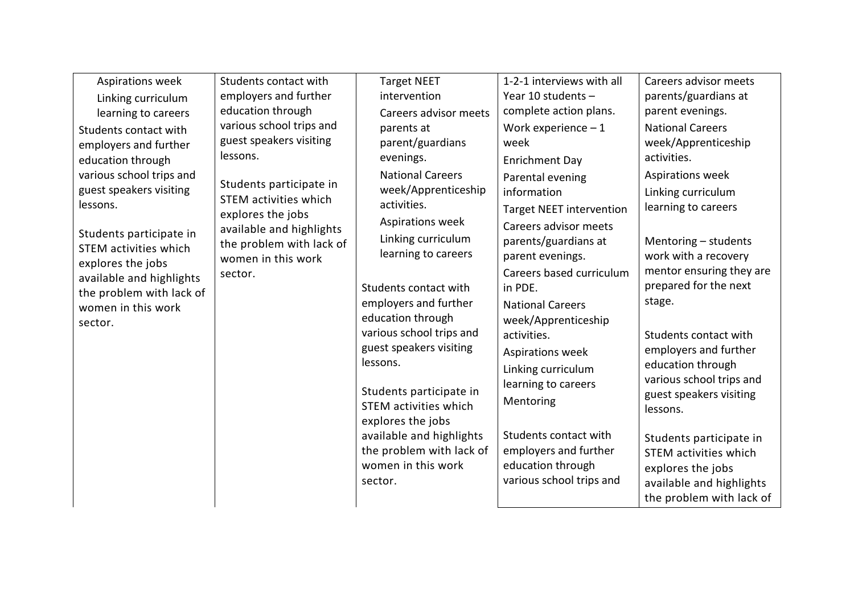| Aspirations week<br><b>Target NEET</b><br>employers and further<br>intervention<br>parents/guardians at<br>Year 10 students $-$<br>Linking curriculum<br>education through<br>complete action plans.<br>parent evenings.<br>Careers advisor meets<br>learning to careers<br>various school trips and<br><b>National Careers</b><br>Work experience $-1$<br>parents at<br>Students contact with<br>guest speakers visiting<br>parent/guardians<br>week/Apprenticeship<br>week<br>employers and further<br>lessons.<br>activities.<br>evenings.<br>education through<br><b>Enrichment Day</b><br>various school trips and<br><b>National Careers</b><br>Aspirations week<br>Parental evening<br>Students participate in<br>guest speakers visiting<br>week/Apprenticeship<br>information<br>Linking curriculum<br>STEM activities which<br>lessons.<br>activities.<br>learning to careers<br><b>Target NEET intervention</b><br>explores the jobs<br>Aspirations week<br>Careers advisor meets<br>available and highlights<br>Students participate in<br>Linking curriculum<br>parents/guardians at<br>Mentoring - students<br>the problem with lack of<br><b>STEM activities which</b><br>learning to careers<br>work with a recovery<br>parent evenings.<br>women in this work<br>explores the jobs<br>mentor ensuring they are<br>Careers based curriculum<br>sector.<br>available and highlights<br>prepared for the next<br>Students contact with<br>in PDE.<br>the problem with lack of<br>stage.<br>employers and further<br><b>National Careers</b><br>women in this work<br>education through<br>week/Apprenticeship<br>sector.<br>various school trips and<br>Students contact with<br>activities.<br>guest speakers visiting<br>employers and further<br>Aspirations week<br>lessons.<br>education through<br>Linking curriculum<br>various school trips and<br>learning to careers<br>Students participate in<br>guest speakers visiting |
|----------------------------------------------------------------------------------------------------------------------------------------------------------------------------------------------------------------------------------------------------------------------------------------------------------------------------------------------------------------------------------------------------------------------------------------------------------------------------------------------------------------------------------------------------------------------------------------------------------------------------------------------------------------------------------------------------------------------------------------------------------------------------------------------------------------------------------------------------------------------------------------------------------------------------------------------------------------------------------------------------------------------------------------------------------------------------------------------------------------------------------------------------------------------------------------------------------------------------------------------------------------------------------------------------------------------------------------------------------------------------------------------------------------------------------------------------------------------------------------------------------------------------------------------------------------------------------------------------------------------------------------------------------------------------------------------------------------------------------------------------------------------------------------------------------------------------------------------------------------------------------------------------------------------------------------------------|
|                                                                                                                                                                                                                                                                                                                                                                                                                                                                                                                                                                                                                                                                                                                                                                                                                                                                                                                                                                                                                                                                                                                                                                                                                                                                                                                                                                                                                                                                                                                                                                                                                                                                                                                                                                                                                                                                                                                                                    |
|                                                                                                                                                                                                                                                                                                                                                                                                                                                                                                                                                                                                                                                                                                                                                                                                                                                                                                                                                                                                                                                                                                                                                                                                                                                                                                                                                                                                                                                                                                                                                                                                                                                                                                                                                                                                                                                                                                                                                    |
| Mentoring<br><b>STEM activities which</b><br>lessons.<br>explores the jobs<br>available and highlights<br>Students contact with<br>Students participate in<br>the problem with lack of<br>employers and further<br><b>STEM activities which</b><br>education through<br>women in this work<br>explores the jobs<br>various school trips and<br>sector.<br>available and highlights<br>the problem with lack of                                                                                                                                                                                                                                                                                                                                                                                                                                                                                                                                                                                                                                                                                                                                                                                                                                                                                                                                                                                                                                                                                                                                                                                                                                                                                                                                                                                                                                                                                                                                     |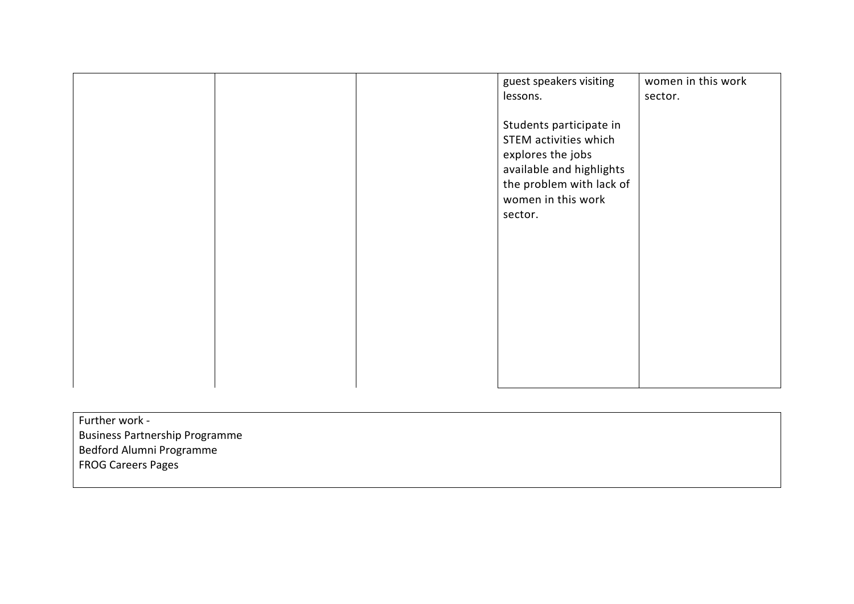|  | guest speakers visiting<br>lessons.<br>Students participate in<br>STEM activities which<br>explores the jobs<br>available and highlights<br>the problem with lack of<br>women in this work<br>sector. | women in this work<br>sector. |
|--|-------------------------------------------------------------------------------------------------------------------------------------------------------------------------------------------------------|-------------------------------|
|  |                                                                                                                                                                                                       |                               |

| Further work -                        |  |
|---------------------------------------|--|
| <b>Business Partnership Programme</b> |  |
| Bedford Alumni Programme              |  |
| <b>FROG Careers Pages</b>             |  |
|                                       |  |